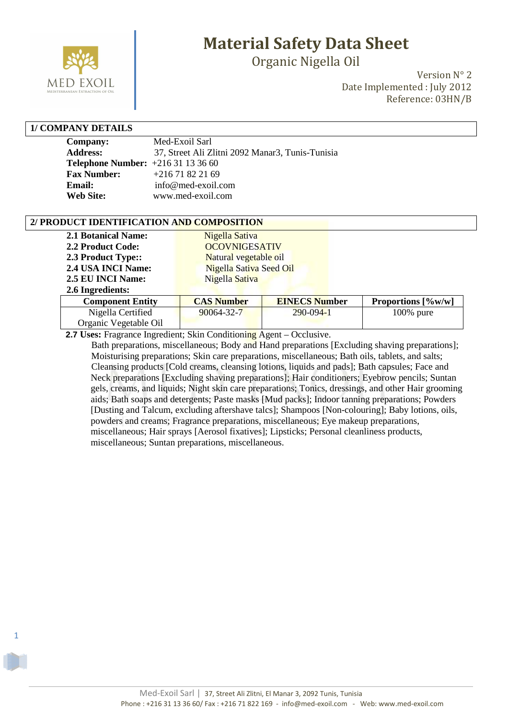

Organic Nigella Oil

Version N° 2 Date Implemented : July 2012 Reference: 03HN/B

#### **1/ COMPANY DETAILS**

1

| <b>Company:</b>                         | Med-Exoil Sarl                                   |
|-----------------------------------------|--------------------------------------------------|
| <b>Address:</b>                         | 37, Street Ali Zlitni 2092 Manar3, Tunis-Tunisia |
| <b>Telephone Number:</b> $+21631133660$ |                                                  |
| <b>Fax Number:</b>                      | $+21671822169$                                   |
| Email:                                  | info@med-exoil.com                               |
| <b>Web Site:</b>                        | www.med-exoil.com                                |

#### **2/ PRODUCT IDENTIFICATION AND COMPOSITION**

| <b>2.1 Botanical Name:</b> | Nigella Sativa          |                      |                                                       |
|----------------------------|-------------------------|----------------------|-------------------------------------------------------|
| 2.2 Product Code:          | <b>OCOVNIGESATIV</b>    |                      |                                                       |
| 2.3 Product Type::         | Natural vegetable oil   |                      |                                                       |
| 2.4 USA INCI Name:         | Nigella Sativa Seed Oil |                      |                                                       |
| 2.5 EU INCI Name:          | Nigella Sativa          |                      |                                                       |
| 2.6 Ingredients:           |                         |                      |                                                       |
| Component Futity           | $CAS$ Number            | <b>FINECS Number</b> | <b>Proportions</b> $\left[\frac{0}{\omega}w/w\right]$ |

| Component Entity      | <b>CAS Number</b> | <b>EINECS Number</b> | <b>Proportions</b> $[\%w/w]$ |
|-----------------------|-------------------|----------------------|------------------------------|
| Nigella Certified     | 90064-32-7        | $290 - 094 - 1$      | $100\%$ pure                 |
| Organic Vegetable Oil |                   |                      |                              |
|                       |                   |                      |                              |

 **2.7 Uses:** Fragrance Ingredient; Skin Conditioning Agent – Occlusive.

 Bath preparations, miscellaneous; Body and Hand preparations [Excluding shaving preparations]; Moisturising preparations; Skin care preparations, miscellaneous; Bath oils, tablets, and salts; Cleansing products [Cold creams, cleansing lotions, liquids and pads]; Bath capsules; Face and Neck preparations [Excluding shaving preparations]; Hair conditioners; Eyebrow pencils; Suntan gels, creams, and liquids; Night skin care preparations; Tonics, dressings, and other Hair grooming aids; Bath soaps and detergents; Paste masks [Mud packs]; Indoor tanning preparations; Powders [Dusting and Talcum, excluding aftershave talcs]; Shampoos [Non-colouring]; Baby lotions, oils, powders and creams; Fragrance preparations, miscellaneous; Eye makeup preparations, miscellaneous; Hair sprays [Aerosol fixatives]; Lipsticks; Personal cleanliness products, miscellaneous; Suntan preparations, miscellaneous.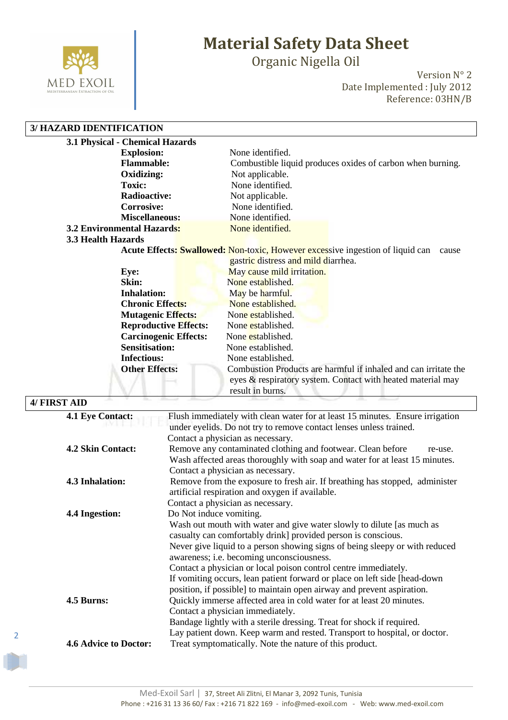

Organic Nigella Oil

Version N° 2 Date Implemented : July 2012 Reference: 03HN/B

#### **3/ HAZARD IDENTIFICATION**

| 3.1 Physical - Chemical Hazards   |                                                                                                                                                    |
|-----------------------------------|----------------------------------------------------------------------------------------------------------------------------------------------------|
| <b>Explosion:</b>                 | None identified.                                                                                                                                   |
| <b>Flammable:</b>                 | Combustible liquid produces oxides of carbon when burning.                                                                                         |
| Oxidizing:                        | Not applicable.                                                                                                                                    |
| <b>Toxic:</b>                     | None identified.                                                                                                                                   |
| <b>Radioactive:</b>               | Not applicable.                                                                                                                                    |
| <b>Corrosive:</b>                 | None identified.                                                                                                                                   |
| <b>Miscellaneous:</b>             | None identified.                                                                                                                                   |
| <b>3.2 Environmental Hazards:</b> | None identified.                                                                                                                                   |
| 3.3 Health Hazards                |                                                                                                                                                    |
|                                   | <b>Acute Effects: Swallowed: Non-toxic, However excessive ingestion of liquid can</b><br>cause                                                     |
|                                   | gastric distress and mild diarrhea.                                                                                                                |
| Eye:                              | May cause mild irritation.                                                                                                                         |
| Skin:                             | None established.                                                                                                                                  |
| <b>Inhalation:</b>                | May be harmful.                                                                                                                                    |
| <b>Chronic Effects:</b>           | None established.                                                                                                                                  |
| <b>Mutagenic Effects:</b>         | None established.                                                                                                                                  |
| <b>Reproductive Effects:</b>      | None established.                                                                                                                                  |
| <b>Carcinogenic Effects:</b>      | None established.                                                                                                                                  |
| <b>Sensitisation:</b>             | None established.                                                                                                                                  |
| <b>Infectious:</b>                | None established.                                                                                                                                  |
| <b>Other Effects:</b>             | Combustion Products are harmful if inhaled and can irritate the<br>eyes & respiratory system. Contact with heated material may<br>result in burns. |

#### **4/ FIRST AID 4.1 Eye Contact:** Flush immediately with clean water for at least 15 minutes. Ensure irrigation under eyelids. Do not try to remove contact lenses unless trained. Contact a physician as necessary. **4.2 Skin Contact:** Remove any contaminated clothing and footwear. Clean before re-use. Wash affected areas thoroughly with soap and water for at least 15 minutes. Contact a physician as necessary. **4.3 Inhalation:** Remove from the exposure to fresh air. If breathing has stopped, administer artificial respiration and oxygen if available. Contact a physician as necessary. **4.4 Ingestion:** Do Not induce vomiting. Wash out mouth with water and give water slowly to dilute [as much as casualty can comfortably drink] provided person is conscious. Never give liquid to a person showing signs of being sleepy or with reduced awareness; i.e. becoming unconsciousness. Contact a physician or local poison control centre immediately. If vomiting occurs, lean patient forward or place on left side [head-down position, if possible] to maintain open airway and prevent aspiration. **4.5 Burns:** Quickly immerse affected area in cold water for at least 20 minutes. Contact a physician immediately. Bandage lightly with a sterile dressing. Treat for shock if required. Lay patient down. Keep warm and rested. Transport to hospital, or doctor. **4.6 Advice to Doctor:** Treat symptomatically. Note the nature of this product.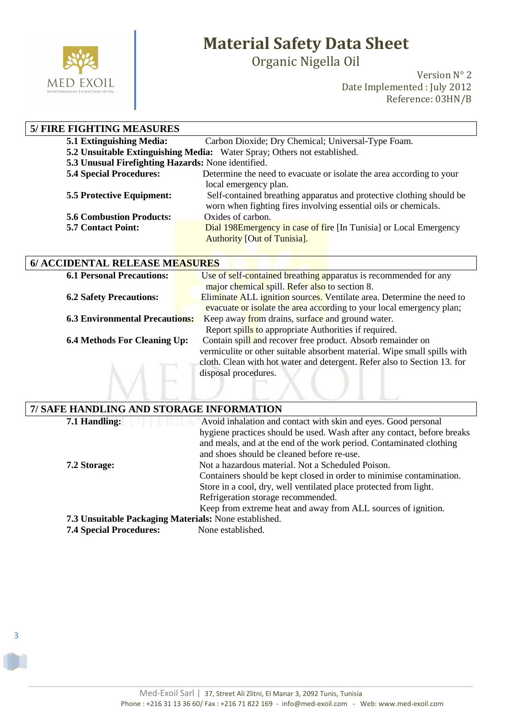

3

# **Material Safety Data Sheet**

Organic Nigella Oil

Version N° 2 Date Implemented : July 2012 Reference: 03HN/B

| <b>5/ FIRE FIGHTING MEASURES</b>                   |                                                                          |  |
|----------------------------------------------------|--------------------------------------------------------------------------|--|
| <b>5.1 Extinguishing Media:</b>                    | Carbon Dioxide; Dry Chemical; Universal-Type Foam.                       |  |
|                                                    | 5.2 Unsuitable Extinguishing Media: Water Spray; Others not established. |  |
| 5.3 Unusual Firefighting Hazards: None identified. |                                                                          |  |
| <b>5.4 Special Procedures:</b>                     | Determine the need to evacuate or isolate the area according to your     |  |
|                                                    | local emergency plan.                                                    |  |
| <b>5.5 Protective Equipment:</b>                   | Self-contained breathing apparatus and protective clothing should be     |  |
|                                                    | worn when fighting fires involving essential oils or chemicals.          |  |
| <b>5.6 Combustion Products:</b>                    | Oxides of carbon.                                                        |  |
| <b>5.7 Contact Point:</b>                          | Dial 198E mergency in case of fire [In Tunisia] or Local Emergency       |  |
|                                                    | <b>Authority [Out of Tunisia].</b>                                       |  |

|  | 6/ ACCIDENTAL RELEASE MEASURES |
|--|--------------------------------|
|--|--------------------------------|

| <b>6.1 Personal Precautions:</b>      | Use of self-contained breathing apparatus is recommended for any                                                                        |  |  |
|---------------------------------------|-----------------------------------------------------------------------------------------------------------------------------------------|--|--|
|                                       | major chemical spill. Refer also to section 8.                                                                                          |  |  |
| <b>6.2 Safety Precautions:</b>        | Eliminate ALL ignition sources. Ventilate area. Determine the need to                                                                   |  |  |
|                                       | evacuate or isolate the area according to your local emergency plan;                                                                    |  |  |
| <b>6.3 Environmental Precautions:</b> | Keep away from drains, surface and ground water.                                                                                        |  |  |
|                                       | Report spills to appropriate Authorities if required.                                                                                   |  |  |
| <b>6.4 Methods For Cleaning Up:</b>   | Contain spill and recover free product. Absorb remainder on<br>vermiculite or other suitable absorbent material. Wipe small spills with |  |  |
|                                       | cloth. Clean with hot water and detergent. Refer also to Section 13. for                                                                |  |  |
|                                       | disposal procedures.                                                                                                                    |  |  |
|                                       |                                                                                                                                         |  |  |

| 7/ SAFE HANDLING AND STORAGE INFORMATION              |                                                                         |  |
|-------------------------------------------------------|-------------------------------------------------------------------------|--|
| 7.1 Handling:                                         | Avoid inhalation and contact with skin and eyes. Good personal          |  |
|                                                       | hygiene practices should be used. Wash after any contact, before breaks |  |
|                                                       | and meals, and at the end of the work period. Contaminated clothing     |  |
|                                                       | and shoes should be cleaned before re-use.                              |  |
| 7.2 Storage:                                          | Not a hazardous material. Not a Scheduled Poison.                       |  |
|                                                       | Containers should be kept closed in order to minimise contamination.    |  |
|                                                       | Store in a cool, dry, well ventilated place protected from light.       |  |
|                                                       | Refrigeration storage recommended.                                      |  |
|                                                       | Keep from extreme heat and away from ALL sources of ignition.           |  |
| 7.3 Unsuitable Packaging Materials: None established. |                                                                         |  |
| <b>7.4 Special Procedures:</b>                        | None established.                                                       |  |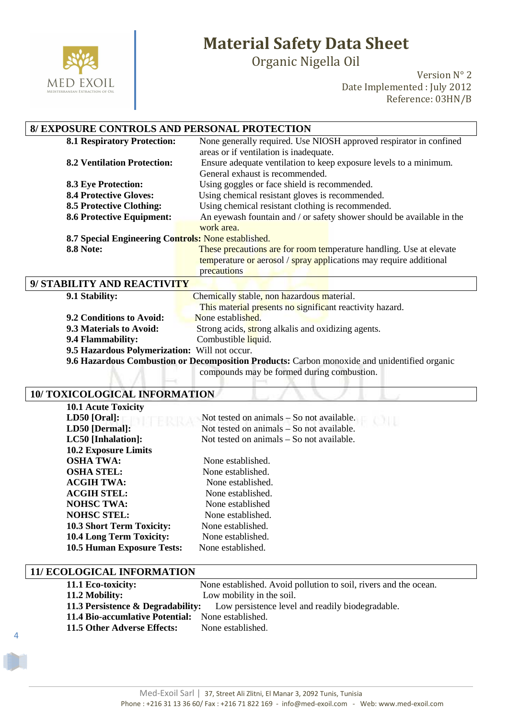

Organic Nigella Oil

Version N° 2 Date Implemented : July 2012 Reference: 03HN/B

### **8/ EXPOSURE CONTROLS AND PERSONAL PROTECTION**

| <b>8.1 Respiratory Protection:</b>                  | None generally required. Use NIOSH approved respirator in confined    |  |
|-----------------------------------------------------|-----------------------------------------------------------------------|--|
|                                                     | areas or if ventilation is inadequate.                                |  |
| <b>8.2 Ventilation Protection:</b>                  | Ensure adequate ventilation to keep exposure levels to a minimum.     |  |
|                                                     | General exhaust is recommended.                                       |  |
| <b>8.3 Eye Protection:</b>                          | Using goggles or face shield is recommended.                          |  |
| <b>8.4 Protective Gloves:</b>                       | Using chemical resistant gloves is recommended.                       |  |
| <b>8.5 Protective Clothing:</b>                     | Using chemical resistant clothing is recommended.                     |  |
| <b>8.6 Protective Equipment:</b>                    | An eyewash fountain and / or safety shower should be available in the |  |
|                                                     | work area.                                                            |  |
| 8.7 Special Engineering Controls: None established. |                                                                       |  |
| <b>8.8 Note:</b>                                    | These precautions are for room temperature handling. Use at elevate   |  |
|                                                     | temperature or aerosol / spray applications may require additional    |  |
|                                                     | precautions                                                           |  |
| 9/ STABILITY AND REACTIVITY                         |                                                                       |  |

| 9.1 Stability:                                | Chemically stable, non hazardous material.                                                   |  |
|-----------------------------------------------|----------------------------------------------------------------------------------------------|--|
|                                               | This material presents no significant reactivity hazard.                                     |  |
| 9.2 Conditions to Avoid:                      | None established.                                                                            |  |
| 9.3 Materials to Avoid:                       | Strong acids, strong alkalis and oxidizing agents.                                           |  |
| 9.4 Flammability:                             | Combustible liquid.                                                                          |  |
| 9.5 Hazardous Polymerization: Will not occur. |                                                                                              |  |
|                                               | 9.6 Hazardous Combustion or Decomposition Products: Carbon monoxide and unidentified organic |  |

compounds may be formed during combustion.

#### **10/ TOXICOLOGICAL INFORMATION**

| <b>10.1 Acute Toxicity</b>        |                                             |
|-----------------------------------|---------------------------------------------|
| $LD50$ [Oral]:                    | Not tested on animals $-$ So not available. |
| LD50 [Dermal]:                    | Not tested on animals – So not available.   |
| LC50 [Inhalation]:                | Not tested on animals – So not available.   |
| <b>10.2 Exposure Limits</b>       |                                             |
| <b>OSHA TWA:</b>                  | None established.                           |
| <b>OSHA STEL:</b>                 | None established.                           |
| <b>ACGIH TWA:</b>                 | None established.                           |
| <b>ACGIH STEL:</b>                | None established.                           |
| <b>NOHSC TWA:</b>                 | None established                            |
| <b>NOHSC STEL:</b>                | None established.                           |
| <b>10.3 Short Term Toxicity:</b>  | None established.                           |
| <b>10.4 Long Term Toxicity:</b>   | None established.                           |
| <b>10.5 Human Exposure Tests:</b> | None established.                           |

#### **11/ ECOLOGICAL INFORMATION**

4

| 11.1 Eco-toxicity:                                | None established. Avoid pollution to soil, rivers and the ocean.                              |
|---------------------------------------------------|-----------------------------------------------------------------------------------------------|
| 11.2 Mobility:                                    | Low mobility in the soil.                                                                     |
|                                                   | <b>11.3 Persistence &amp; Degradability:</b> Low persistence level and readily biodegradable. |
| 11.4 Bio-accumlative Potential: None established. |                                                                                               |
| 11.5 Other Adverse Effects:                       | None established.                                                                             |
|                                                   |                                                                                               |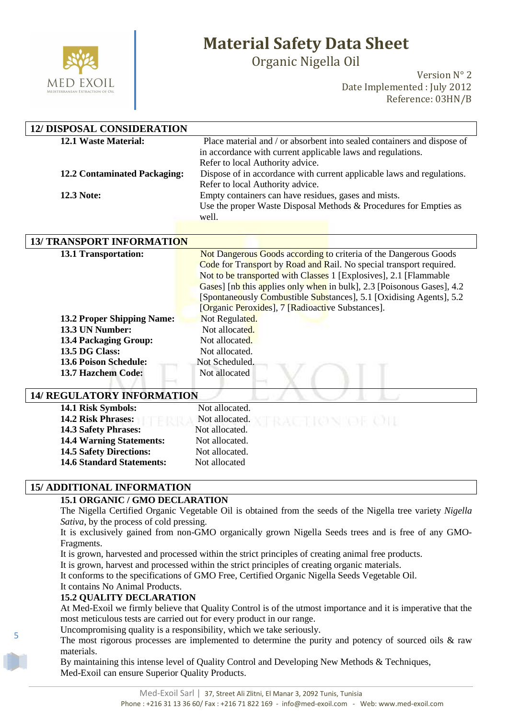

Organic Nigella Oil

Version N° 2 Date Implemented : July 2012 Reference: 03HN/B

| <b>12/ DISPOSAL CONSIDERATION</b>   |                                                                            |
|-------------------------------------|----------------------------------------------------------------------------|
| 12.1 Waste Material:                | Place material and / or absorbent into sealed containers and dispose of    |
|                                     | in accordance with current applicable laws and regulations.                |
|                                     | Refer to local Authority advice.                                           |
| <b>12.2 Contaminated Packaging:</b> | Dispose of in accordance with current applicable laws and regulations.     |
|                                     | Refer to local Authority advice.                                           |
| <b>12.3 Note:</b>                   | Empty containers can have residues, gases and mists.                       |
|                                     | Use the proper Waste Disposal Methods & Procedures for Empties as<br>well. |
|                                     |                                                                            |
| <b>13/ TRANSPORT INFORMATION</b>    |                                                                            |
| 13.1 Transportation:                | Not Dangerous Goods according to criteria of the Dangerous Goods           |
|                                     | Code for Transport by Road and Rail. No special transport required.        |
|                                     | Not to be transported with Classes 1 [Explosives], 2.1 [Flammable]         |
|                                     | Gases] [nb this applies only when in bulk], 2.3 [Poisonous Gases], 4.2     |
|                                     | [Spontaneously Combustible Substances], 5.1 [Oxidising Agents], 5.2        |
|                                     | [Organic Peroxides], 7 [Radioactive Substances].                           |
| <b>13.2 Proper Shipping Name:</b>   | Not Regulated.                                                             |
| 13.3 UN Number:                     | Not allocated.                                                             |
| <b>13.4 Packaging Group:</b>        | Not allocated.                                                             |
| 13.5 DG Class:                      | Not allocated.                                                             |
| <b>13.6 Poison Schedule:</b>        | Not Scheduled.                                                             |
| 13.7 Hazchem Code:                  | Not allocated                                                              |
| $\frac{1}{2}$                       |                                                                            |

#### **14/ REGULATORY INFORMATION**

| 14.1 Risk Symbols:               | Not allocated.                    |
|----------------------------------|-----------------------------------|
| <b>14.2 Risk Phrases:</b>        | Not allocated.<br>TRACTION OF OIL |
| <b>14.3 Safety Phrases:</b>      | Not allocated.                    |
| <b>14.4 Warning Statements:</b>  | Not allocated.                    |
| <b>14.5 Safety Directions:</b>   | Not allocated.                    |
| <b>14.6 Standard Statements:</b> | Not allocated                     |
|                                  |                                   |

#### **15/ ADDITIONAL INFORMATION**

#### **15.1 ORGANIC / GMO DECLARATION**

The Nigella Certified Organic Vegetable Oil is obtained from the seeds of the Nigella tree variety *Nigella Sativa*, by the process of cold pressing.

It is exclusively gained from non-GMO organically grown Nigella Seeds trees and is free of any GMO-Fragments.

It is grown, harvested and processed within the strict principles of creating animal free products.

It is grown, harvest and processed within the strict principles of creating organic materials.

It conforms to the specifications of GMO Free, Certified Organic Nigella Seeds Vegetable Oil.

It contains No Animal Products.

5

#### **15.2 QUALITY DECLARATION**

At Med-Exoil we firmly believe that Quality Control is of the utmost importance and it is imperative that the most meticulous tests are carried out for every product in our range.

Uncompromising quality is a responsibility, which we take seriously.

The most rigorous processes are implemented to determine the purity and potency of sourced oils & raw materials.

By maintaining this intense level of Quality Control and Developing New Methods & Techniques, Med-Exoil can ensure Superior Quality Products.